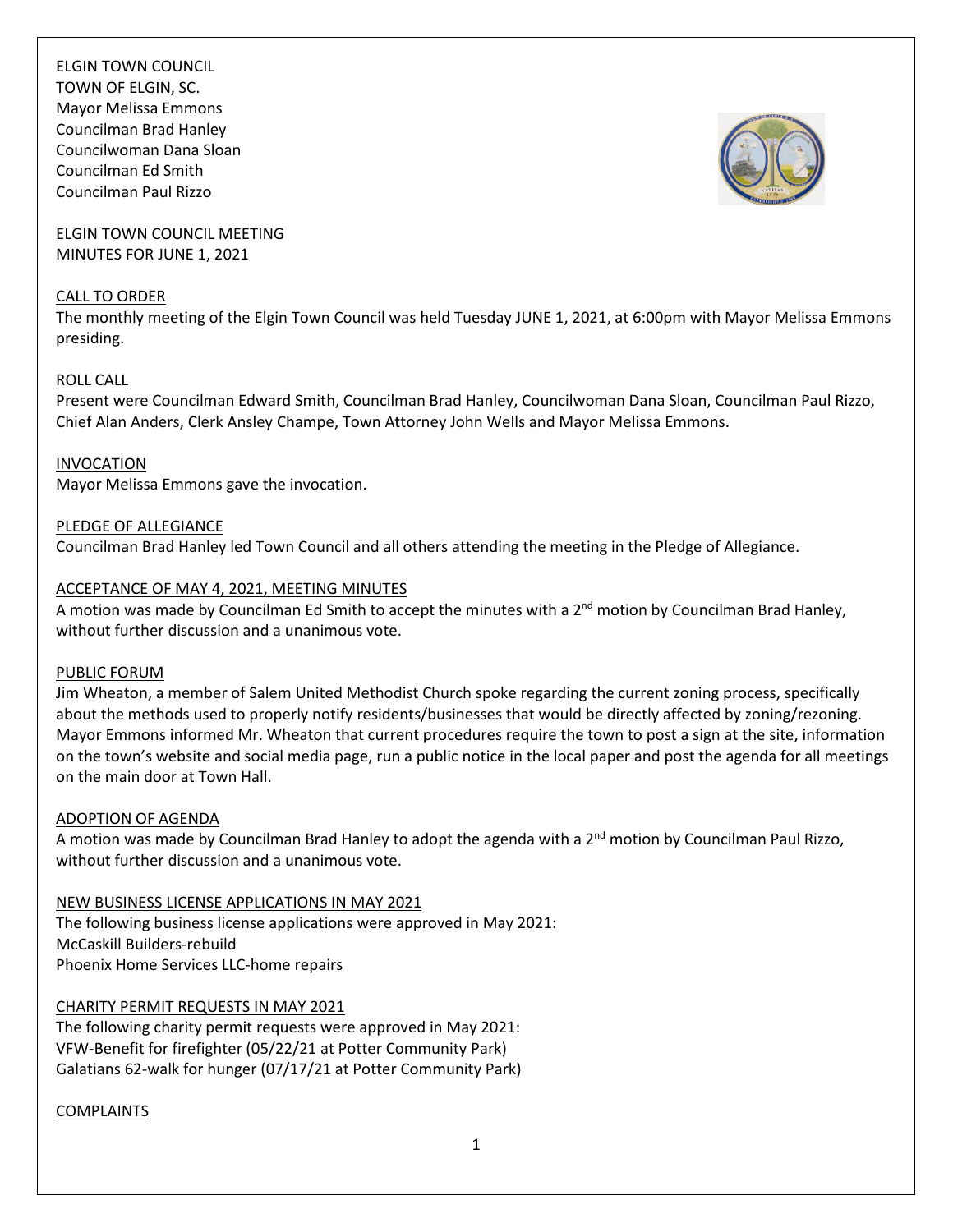

ELGIN TOWN COUNCIL MEETING MINUTES FOR JUNE 1, 2021

#### CALL TO ORDER

The monthly meeting of the Elgin Town Council was held Tuesday JUNE 1, 2021, at 6:00pm with Mayor Melissa Emmons presiding.

### ROLL CALL

Present were Councilman Edward Smith, Councilman Brad Hanley, Councilwoman Dana Sloan, Councilman Paul Rizzo, Chief Alan Anders, Clerk Ansley Champe, Town Attorney John Wells and Mayor Melissa Emmons.

# INVOCATION

Mayor Melissa Emmons gave the invocation.

# PLEDGE OF ALLEGIANCE

Councilman Brad Hanley led Town Council and all others attending the meeting in the Pledge of Allegiance.

# ACCEPTANCE OF MAY 4, 2021, MEETING MINUTES

A motion was made by Councilman Ed Smith to accept the minutes with a  $2^{nd}$  motion by Councilman Brad Hanley, without further discussion and a unanimous vote.

### PUBLIC FORUM

Jim Wheaton, a member of Salem United Methodist Church spoke regarding the current zoning process, specifically about the methods used to properly notify residents/businesses that would be directly affected by zoning/rezoning. Mayor Emmons informed Mr. Wheaton that current procedures require the town to post a sign at the site, information on the town's website and social media page, run a public notice in the local paper and post the agenda for all meetings on the main door at Town Hall.

### ADOPTION OF AGENDA

A motion was made by Councilman Brad Hanley to adopt the agenda with a  $2^{nd}$  motion by Councilman Paul Rizzo, without further discussion and a unanimous vote.

NEW BUSINESS LICENSE APPLICATIONS IN MAY 2021 The following business license applications were approved in May 2021: McCaskill Builders-rebuild Phoenix Home Services LLC-home repairs

CHARITY PERMIT REQUESTS IN MAY 2021

The following charity permit requests were approved in May 2021: VFW-Benefit for firefighter (05/22/21 at Potter Community Park) Galatians 62-walk for hunger (07/17/21 at Potter Community Park)

# **COMPLAINTS**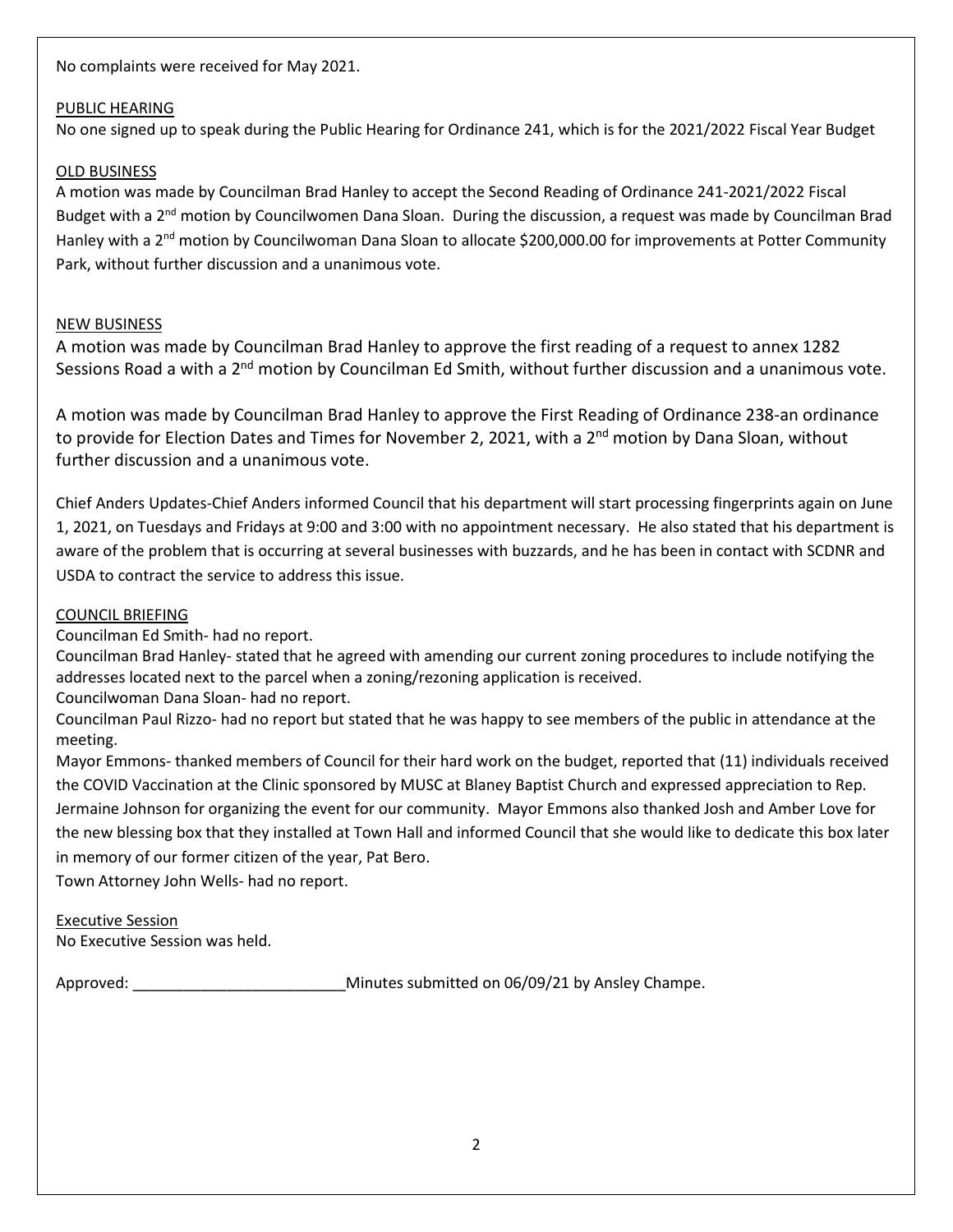No complaints were received for May 2021.

# PUBLIC HEARING

No one signed up to speak during the Public Hearing for Ordinance 241, which is for the 2021/2022 Fiscal Year Budget

# OLD BUSINESS

A motion was made by Councilman Brad Hanley to accept the Second Reading of Ordinance 241-2021/2022 Fiscal Budget with a 2<sup>nd</sup> motion by Councilwomen Dana Sloan. During the discussion, a request was made by Councilman Brad Hanley with a 2<sup>nd</sup> motion by Councilwoman Dana Sloan to allocate \$200,000.00 for improvements at Potter Community Park, without further discussion and a unanimous vote.

# NEW BUSINESS

A motion was made by Councilman Brad Hanley to approve the first reading of a request to annex 1282 Sessions Road a with a 2<sup>nd</sup> motion by Councilman Ed Smith, without further discussion and a unanimous vote.

A motion was made by Councilman Brad Hanley to approve the First Reading of Ordinance 238-an ordinance to provide for Election Dates and Times for November 2, 2021, with a 2<sup>nd</sup> motion by Dana Sloan, without further discussion and a unanimous vote.

Chief Anders Updates-Chief Anders informed Council that his department will start processing fingerprints again on June 1, 2021, on Tuesdays and Fridays at 9:00 and 3:00 with no appointment necessary. He also stated that his department is aware of the problem that is occurring at several businesses with buzzards, and he has been in contact with SCDNR and USDA to contract the service to address this issue.

# COUNCIL BRIEFING

Councilman Ed Smith- had no report.

Councilman Brad Hanley- stated that he agreed with amending our current zoning procedures to include notifying the addresses located next to the parcel when a zoning/rezoning application is received.

Councilwoman Dana Sloan- had no report.

Councilman Paul Rizzo- had no report but stated that he was happy to see members of the public in attendance at the meeting.

Mayor Emmons- thanked members of Council for their hard work on the budget, reported that (11) individuals received the COVID Vaccination at the Clinic sponsored by MUSC at Blaney Baptist Church and expressed appreciation to Rep. Jermaine Johnson for organizing the event for our community. Mayor Emmons also thanked Josh and Amber Love for the new blessing box that they installed at Town Hall and informed Council that she would like to dedicate this box later in memory of our former citizen of the year, Pat Bero.

Town Attorney John Wells- had no report.

# Executive Session

No Executive Session was held.

Approved: \_\_\_\_\_\_\_\_\_\_\_\_\_\_\_\_\_\_\_\_\_\_\_\_\_Minutes submitted on 06/09/21 by Ansley Champe.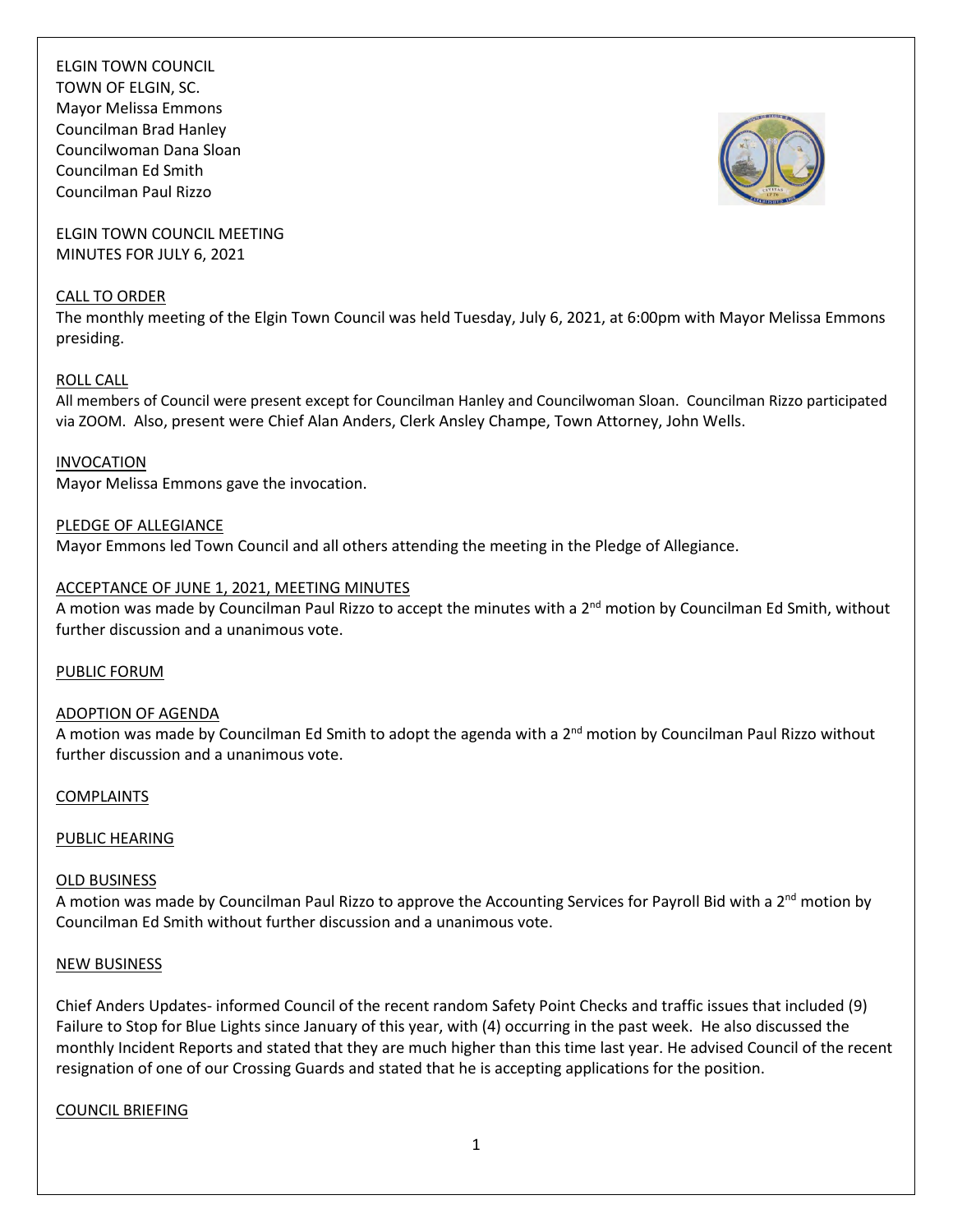

ELGIN TOWN COUNCIL MEETING MINUTES FOR JULY 6, 2021

#### CALL TO ORDER

The monthly meeting of the Elgin Town Council was held Tuesday, July 6, 2021, at 6:00pm with Mayor Melissa Emmons presiding.

### ROLL CALL

All members of Council were present except for Councilman Hanley and Councilwoman Sloan. Councilman Rizzo participated via ZOOM. Also, present were Chief Alan Anders, Clerk Ansley Champe, Town Attorney, John Wells.

# INVOCATION

Mayor Melissa Emmons gave the invocation.

PLEDGE OF ALLEGIANCE Mayor Emmons led Town Council and all others attending the meeting in the Pledge of Allegiance.

# ACCEPTANCE OF JUNE 1, 2021, MEETING MINUTES

A motion was made by Councilman Paul Rizzo to accept the minutes with a 2<sup>nd</sup> motion by Councilman Ed Smith, without further discussion and a unanimous vote.

### PUBLIC FORUM

### ADOPTION OF AGENDA

A motion was made by Councilman Ed Smith to adopt the agenda with a 2<sup>nd</sup> motion by Councilman Paul Rizzo without further discussion and a unanimous vote.

### COMPLAINTS

### PUBLIC HEARING

### OLD BUSINESS

A motion was made by Councilman Paul Rizzo to approve the Accounting Services for Payroll Bid with a 2<sup>nd</sup> motion by Councilman Ed Smith without further discussion and a unanimous vote.

### NEW BUSINESS

Chief Anders Updates- informed Council of the recent random Safety Point Checks and traffic issues that included (9) Failure to Stop for Blue Lights since January of this year, with (4) occurring in the past week. He also discussed the monthly Incident Reports and stated that they are much higher than this time last year. He advised Council of the recent resignation of one of our Crossing Guards and stated that he is accepting applications for the position.

### COUNCIL BRIEFING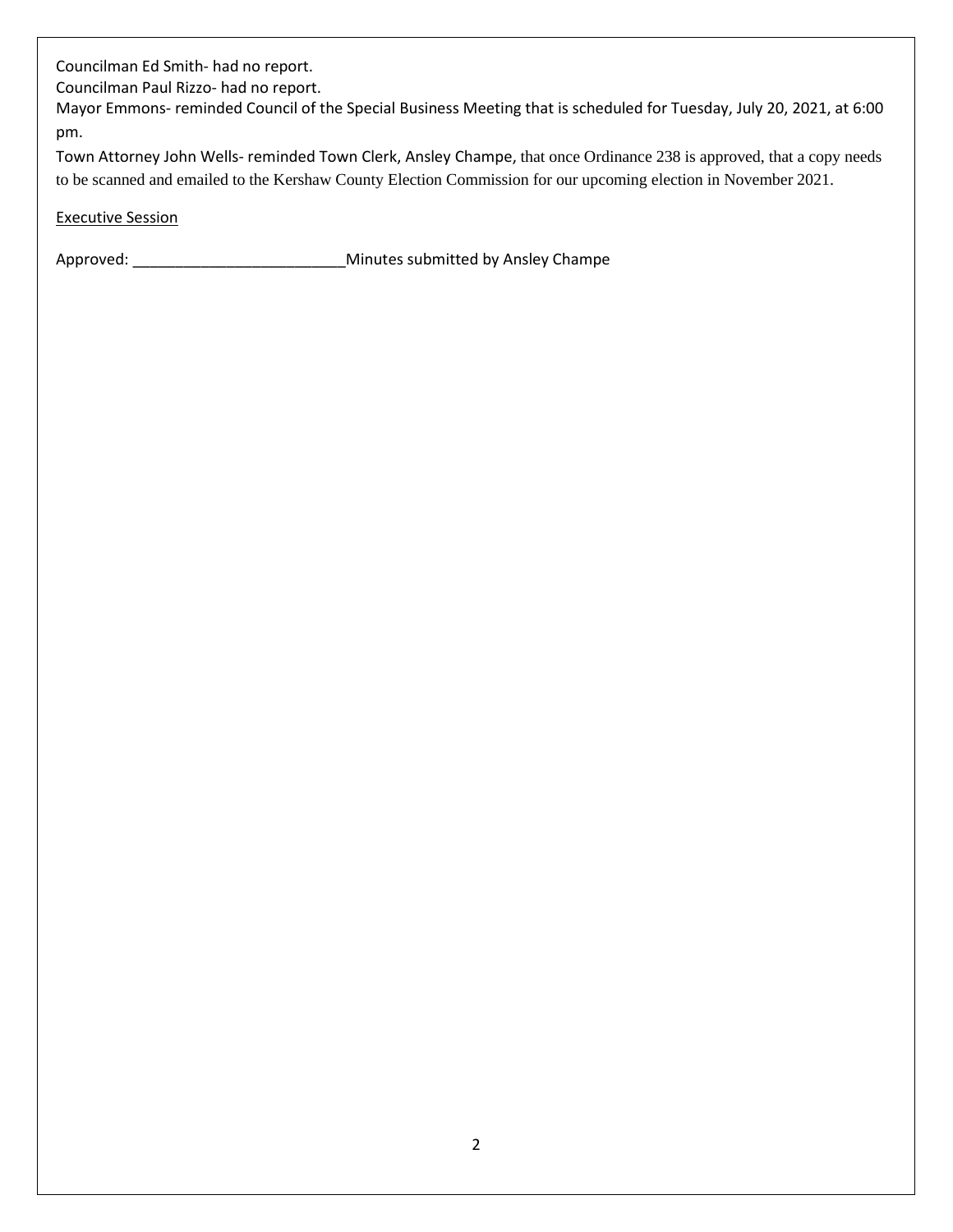Councilman Ed Smith- had no report.

Councilman Paul Rizzo- had no report.

Mayor Emmons- reminded Council of the Special Business Meeting that is scheduled for Tuesday, July 20, 2021, at 6:00 pm.

Town Attorney John Wells- reminded Town Clerk, Ansley Champe, that once Ordinance 238 is approved, that a copy needs to be scanned and emailed to the Kershaw County Election Commission for our upcoming election in November 2021.

# Executive Session

Approved: \_\_\_\_\_\_\_\_\_\_\_\_\_\_\_\_\_\_\_\_\_\_\_\_\_Minutes submitted by Ansley Champe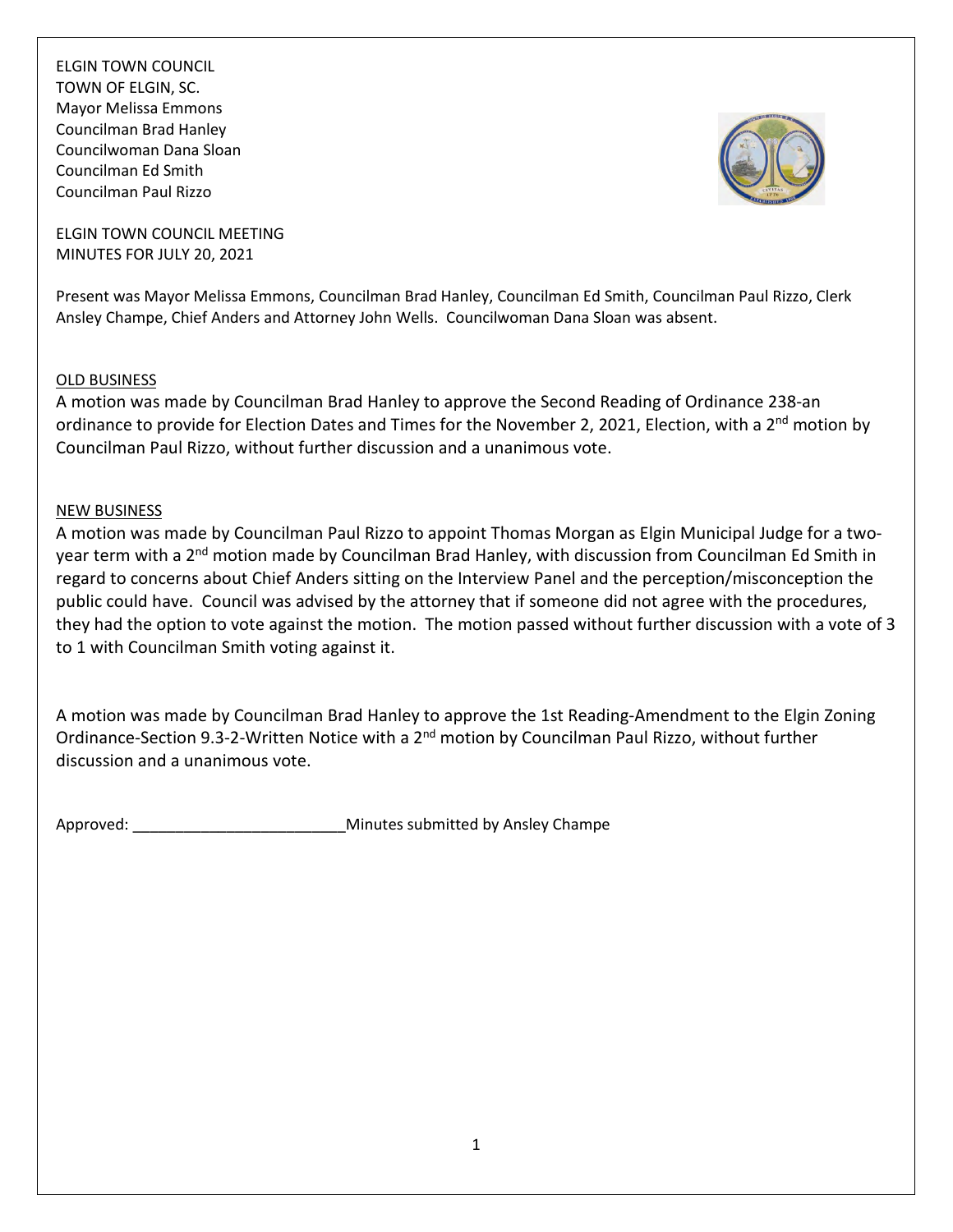

ELGIN TOWN COUNCIL MEETING MINUTES FOR JULY 20, 2021

Present was Mayor Melissa Emmons, Councilman Brad Hanley, Councilman Ed Smith, Councilman Paul Rizzo, Clerk Ansley Champe, Chief Anders and Attorney John Wells. Councilwoman Dana Sloan was absent.

# OLD BUSINESS

A motion was made by Councilman Brad Hanley to approve the Second Reading of Ordinance 238-an ordinance to provide for Election Dates and Times for the November 2, 2021, Election, with a 2<sup>nd</sup> motion by Councilman Paul Rizzo, without further discussion and a unanimous vote.

# NEW BUSINESS

A motion was made by Councilman Paul Rizzo to appoint Thomas Morgan as Elgin Municipal Judge for a twoyear term with a 2<sup>nd</sup> motion made by Councilman Brad Hanley, with discussion from Councilman Ed Smith in regard to concerns about Chief Anders sitting on the Interview Panel and the perception/misconception the public could have. Council was advised by the attorney that if someone did not agree with the procedures, they had the option to vote against the motion. The motion passed without further discussion with a vote of 3 to 1 with Councilman Smith voting against it.

A motion was made by Councilman Brad Hanley to approve the 1st Reading-Amendment to the Elgin Zoning Ordinance-Section 9.3-2-Written Notice with a 2<sup>nd</sup> motion by Councilman Paul Rizzo, without further discussion and a unanimous vote.

Approved:  $\blacksquare$  Approved:  $\blacksquare$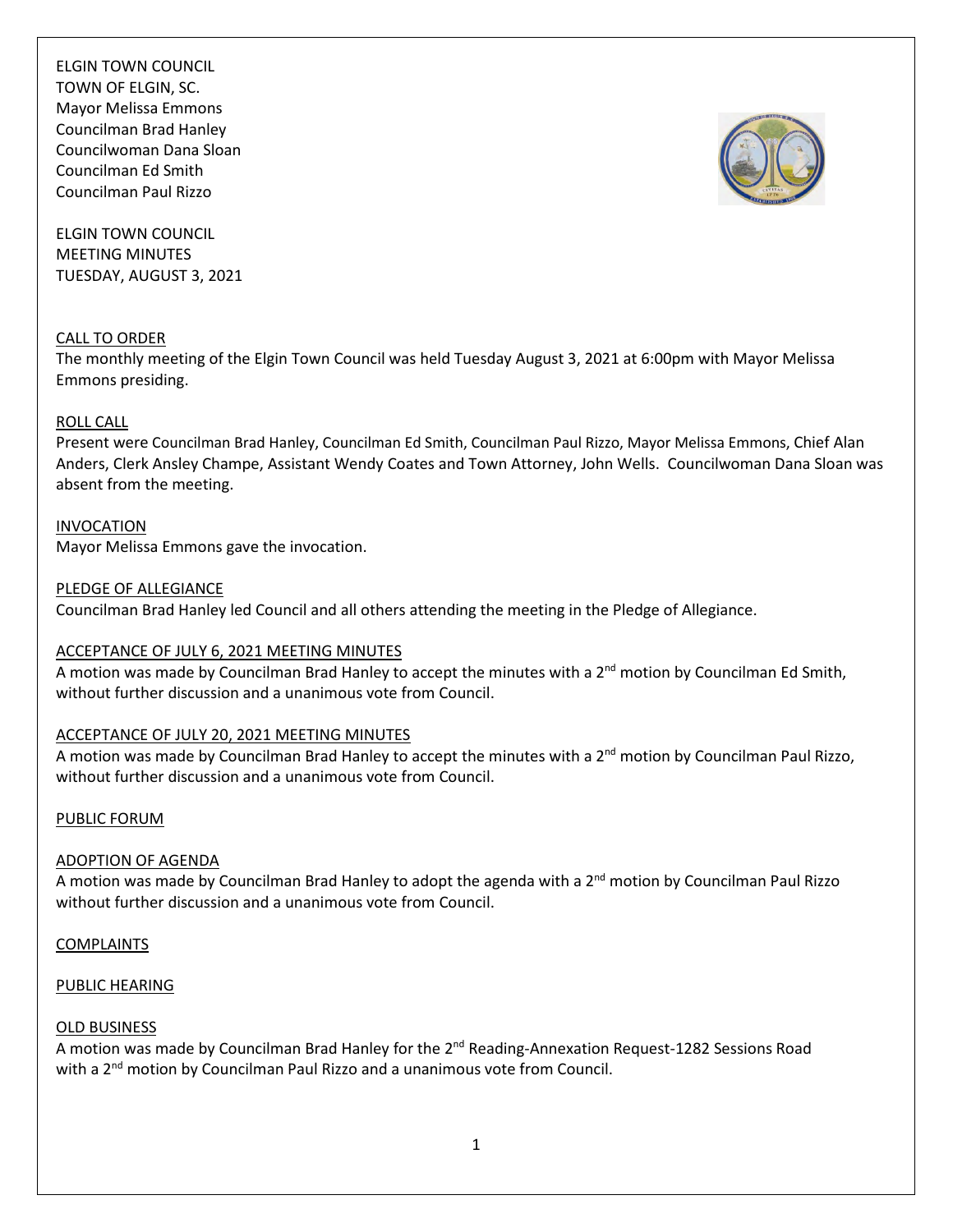ELGIN TOWN COUNCIL MEETING MINUTES TUESDAY, AUGUST 3, 2021

## CALL TO ORDER

The monthly meeting of the Elgin Town Council was held Tuesday August 3, 2021 at 6:00pm with Mayor Melissa Emmons presiding.

#### ROLL CALL

Present were Councilman Brad Hanley, Councilman Ed Smith, Councilman Paul Rizzo, Mayor Melissa Emmons, Chief Alan Anders, Clerk Ansley Champe, Assistant Wendy Coates and Town Attorney, John Wells. Councilwoman Dana Sloan was absent from the meeting.

INVOCATION Mayor Melissa Emmons gave the invocation.

PLEDGE OF ALLEGIANCE

Councilman Brad Hanley led Council and all others attending the meeting in the Pledge of Allegiance.

#### ACCEPTANCE OF JULY 6, 2021 MEETING MINUTES

A motion was made by Councilman Brad Hanley to accept the minutes with a 2<sup>nd</sup> motion by Councilman Ed Smith, without further discussion and a unanimous vote from Council.

### ACCEPTANCE OF JULY 20, 2021 MEETING MINUTES

A motion was made by Councilman Brad Hanley to accept the minutes with a  $2^{nd}$  motion by Councilman Paul Rizzo, without further discussion and a unanimous vote from Council.

#### PUBLIC FORUM

#### ADOPTION OF AGENDA

A motion was made by Councilman Brad Hanley to adopt the agenda with a 2<sup>nd</sup> motion by Councilman Paul Rizzo without further discussion and a unanimous vote from Council.

COMPLAINTS

#### PUBLIC HEARING

### OLD BUSINESS

A motion was made by Councilman Brad Hanley for the 2<sup>nd</sup> Reading-Annexation Request-1282 Sessions Road with a 2<sup>nd</sup> motion by Councilman Paul Rizzo and a unanimous vote from Council.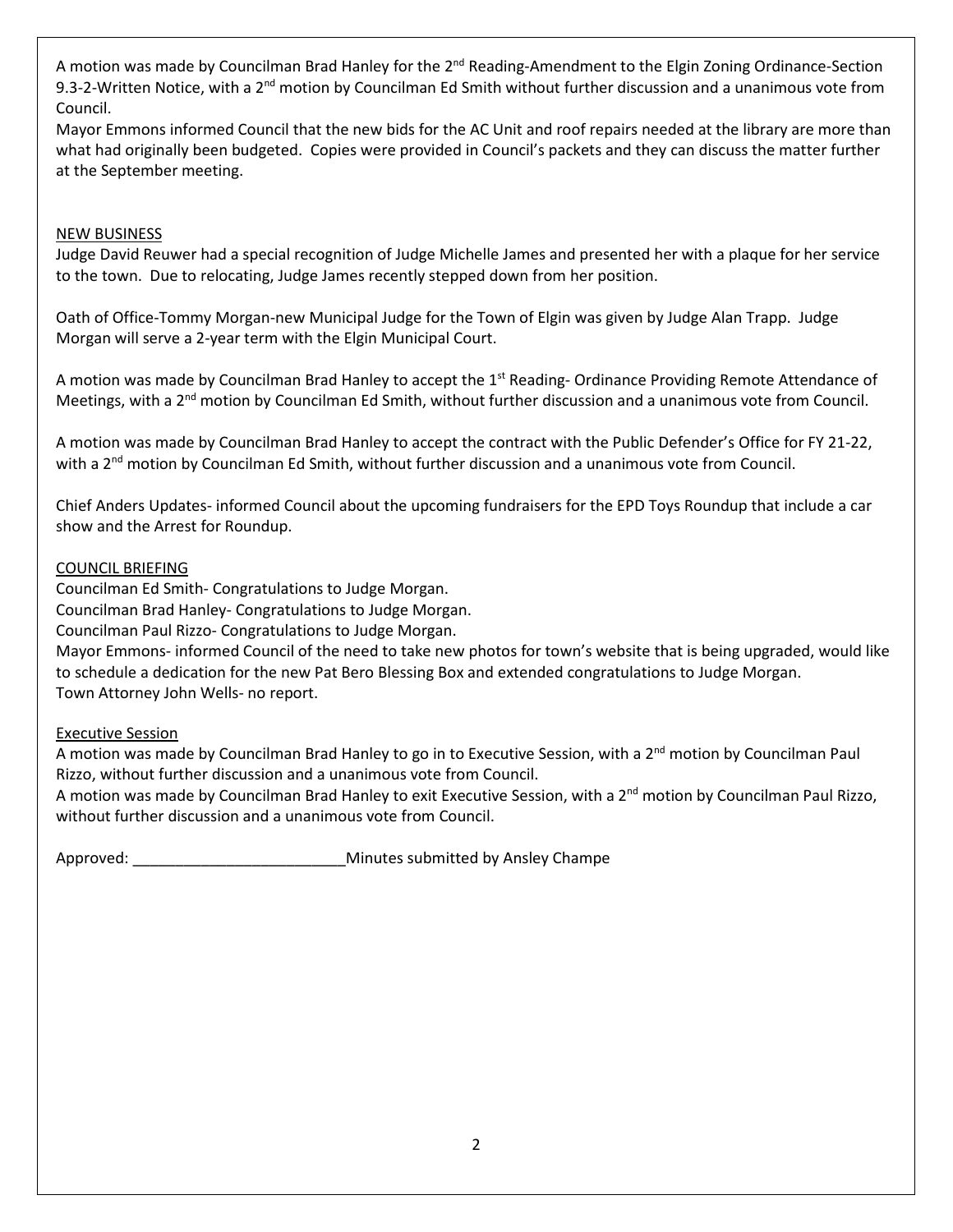A motion was made by Councilman Brad Hanley for the 2<sup>nd</sup> Reading-Amendment to the Elgin Zoning Ordinance-Section 9.3-2-Written Notice, with a 2<sup>nd</sup> motion by Councilman Ed Smith without further discussion and a unanimous vote from Council.

Mayor Emmons informed Council that the new bids for the AC Unit and roof repairs needed at the library are more than what had originally been budgeted. Copies were provided in Council's packets and they can discuss the matter further at the September meeting.

# NEW BUSINESS

Judge David Reuwer had a special recognition of Judge Michelle James and presented her with a plaque for her service to the town. Due to relocating, Judge James recently stepped down from her position.

Oath of Office-Tommy Morgan-new Municipal Judge for the Town of Elgin was given by Judge Alan Trapp. Judge Morgan will serve a 2-year term with the Elgin Municipal Court.

A motion was made by Councilman Brad Hanley to accept the 1<sup>st</sup> Reading-Ordinance Providing Remote Attendance of Meetings, with a  $2<sup>nd</sup>$  motion by Councilman Ed Smith, without further discussion and a unanimous vote from Council.

A motion was made by Councilman Brad Hanley to accept the contract with the Public Defender's Office for FY 21-22, with a 2<sup>nd</sup> motion by Councilman Ed Smith, without further discussion and a unanimous vote from Council.

Chief Anders Updates- informed Council about the upcoming fundraisers for the EPD Toys Roundup that include a car show and the Arrest for Roundup.

# COUNCIL BRIEFING

Councilman Ed Smith- Congratulations to Judge Morgan.

Councilman Brad Hanley- Congratulations to Judge Morgan.

Councilman Paul Rizzo- Congratulations to Judge Morgan.

Mayor Emmons- informed Council of the need to take new photos for town's website that is being upgraded, would like to schedule a dedication for the new Pat Bero Blessing Box and extended congratulations to Judge Morgan. Town Attorney John Wells- no report.

### Executive Session

A motion was made by Councilman Brad Hanley to go in to Executive Session, with a 2<sup>nd</sup> motion by Councilman Paul Rizzo, without further discussion and a unanimous vote from Council.

A motion was made by Councilman Brad Hanley to exit Executive Session, with a 2<sup>nd</sup> motion by Councilman Paul Rizzo, without further discussion and a unanimous vote from Council.

Approved: etc. and the matrix of the Minutes submitted by Ansley Champe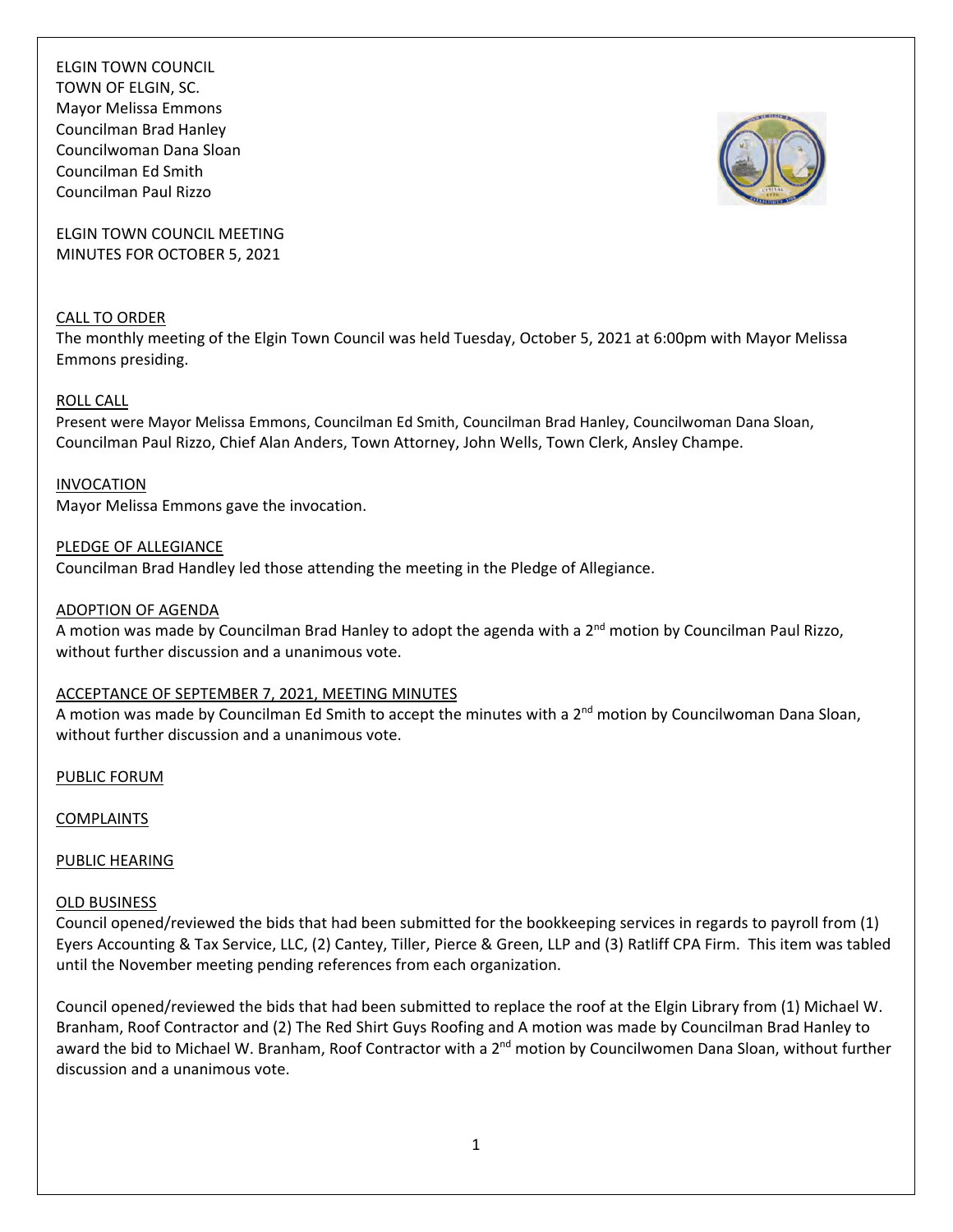ELGIN TOWN COUNCIL TOWN OF ELGIN, SC. Mayor Melissa Emmons Councilman Brad Hanley Councilwoman Dana Sloan Councilman Ed Smith Councilman Paul Rizzo



ELGIN TOWN COUNCIL MEETING MINUTES FOR OCTOBER 5, 2021

### CALL TO ORDER

The monthly meeting of the Elgin Town Council was held Tuesday, October 5, 2021 at 6:00pm with Mayor Melissa Emmons presiding.

### ROLL CALL

Present were Mayor Melissa Emmons, Councilman Ed Smith, Councilman Brad Hanley, Councilwoman Dana Sloan, Councilman Paul Rizzo, Chief Alan Anders, Town Attorney, John Wells, Town Clerk, Ansley Champe.

### INVOCATION

Mayor Melissa Emmons gave the invocation.

### PLEDGE OF ALLEGIANCE

Councilman Brad Handley led those attending the meeting in the Pledge of Allegiance.

### ADOPTION OF AGENDA

A motion was made by Councilman Brad Hanley to adopt the agenda with a 2<sup>nd</sup> motion by Councilman Paul Rizzo, without further discussion and a unanimous vote.

### ACCEPTANCE OF SEPTEMBER 7, 2021, MEETING MINUTES

A motion was made by Councilman Ed Smith to accept the minutes with a  $2^{nd}$  motion by Councilwoman Dana Sloan, without further discussion and a unanimous vote.

PUBLIC FORUM

### COMPLAINTS

### PUBLIC HEARING

### OLD BUSINESS

Council opened/reviewed the bids that had been submitted for the bookkeeping services in regards to payroll from (1) Eyers Accounting & Tax Service, LLC, (2) Cantey, Tiller, Pierce & Green, LLP and (3) Ratliff CPA Firm. This item was tabled until the November meeting pending references from each organization.

Council opened/reviewed the bids that had been submitted to replace the roof at the Elgin Library from (1) Michael W. Branham, Roof Contractor and (2) The Red Shirt Guys Roofing and A motion was made by Councilman Brad Hanley to award the bid to Michael W. Branham, Roof Contractor with a 2<sup>nd</sup> motion by Councilwomen Dana Sloan, without further discussion and a unanimous vote.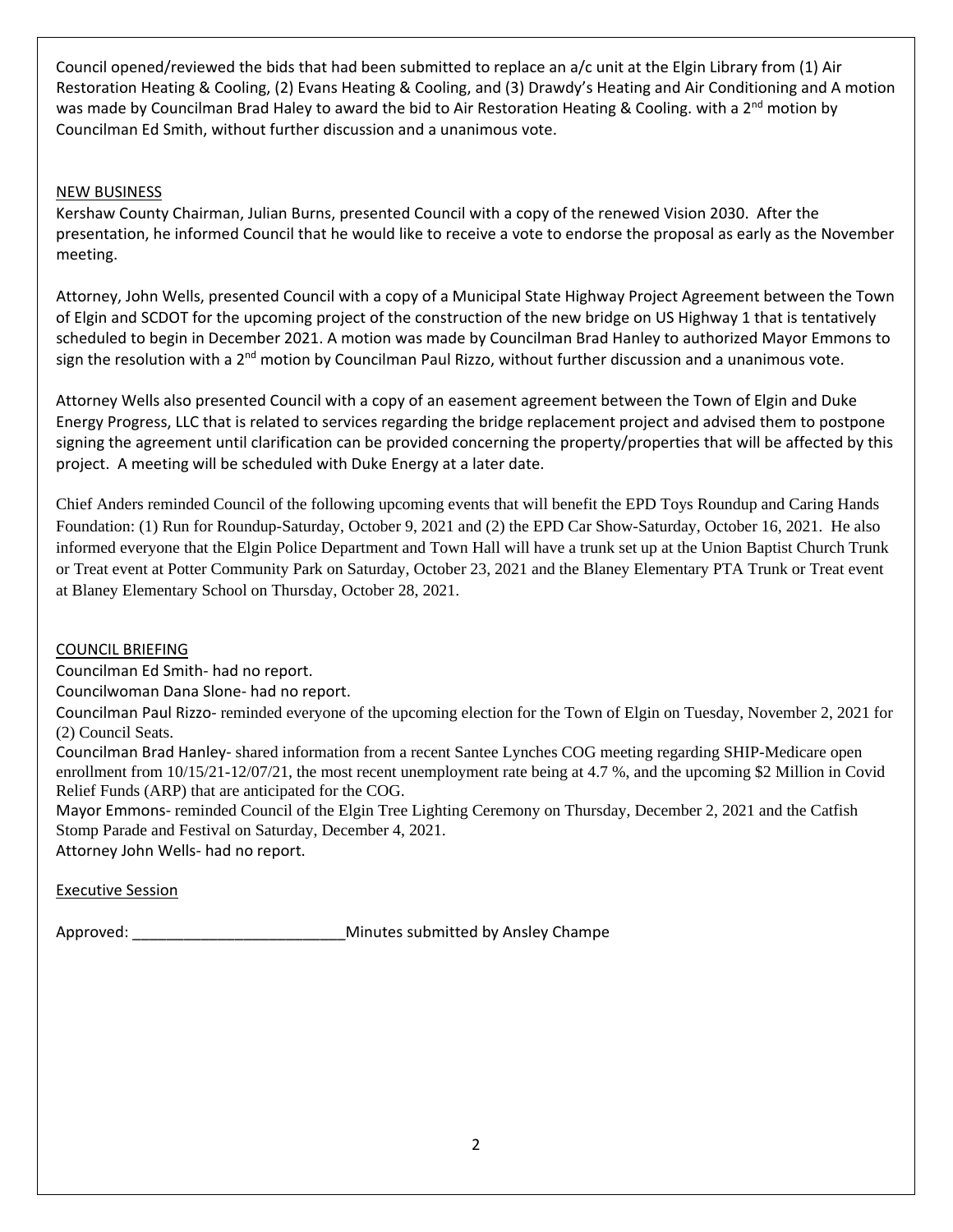Council opened/reviewed the bids that had been submitted to replace an a/c unit at the Elgin Library from (1) Air Restoration Heating & Cooling, (2) Evans Heating & Cooling, and (3) Drawdy's Heating and Air Conditioning and A motion was made by Councilman Brad Haley to award the bid to Air Restoration Heating & Cooling. with a 2<sup>nd</sup> motion by Councilman Ed Smith, without further discussion and a unanimous vote.

# NEW BUSINESS

Kershaw County Chairman, Julian Burns, presented Council with a copy of the renewed Vision 2030. After the presentation, he informed Council that he would like to receive a vote to endorse the proposal as early as the November meeting.

Attorney, John Wells, presented Council with a copy of a Municipal State Highway Project Agreement between the Town of Elgin and SCDOT for the upcoming project of the construction of the new bridge on US Highway 1 that is tentatively scheduled to begin in December 2021. A motion was made by Councilman Brad Hanley to authorized Mayor Emmons to sign the resolution with a 2<sup>nd</sup> motion by Councilman Paul Rizzo, without further discussion and a unanimous vote.

Attorney Wells also presented Council with a copy of an easement agreement between the Town of Elgin and Duke Energy Progress, LLC that is related to services regarding the bridge replacement project and advised them to postpone signing the agreement until clarification can be provided concerning the property/properties that will be affected by this project. A meeting will be scheduled with Duke Energy at a later date.

Chief Anders reminded Council of the following upcoming events that will benefit the EPD Toys Roundup and Caring Hands Foundation: (1) Run for Roundup-Saturday, October 9, 2021 and (2) the EPD Car Show-Saturday, October 16, 2021. He also informed everyone that the Elgin Police Department and Town Hall will have a trunk set up at the Union Baptist Church Trunk or Treat event at Potter Community Park on Saturday, October 23, 2021 and the Blaney Elementary PTA Trunk or Treat event at Blaney Elementary School on Thursday, October 28, 2021.

# COUNCIL BRIEFING

Councilman Ed Smith‐ had no report.

Councilwoman Dana Slone‐ had no report.

Councilman Paul Rizzo‐ reminded everyone of the upcoming election for the Town of Elgin on Tuesday, November 2, 2021 for (2) Council Seats.

Councilman Brad Hanley‐ shared information from a recent Santee Lynches COG meeting regarding SHIP-Medicare open enrollment from 10/15/21-12/07/21, the most recent unemployment rate being at 4.7 %, and the upcoming \$2 Million in Covid Relief Funds (ARP) that are anticipated for the COG.

Mayor Emmons‐ reminded Council of the Elgin Tree Lighting Ceremony on Thursday, December 2, 2021 and the Catfish Stomp Parade and Festival on Saturday, December 4, 2021.

Attorney John Wells‐ had no report.

Executive Session

Approved: \_\_\_\_\_\_\_\_\_\_\_\_\_\_\_\_\_\_\_\_\_\_\_\_\_Minutes submitted by Ansley Champe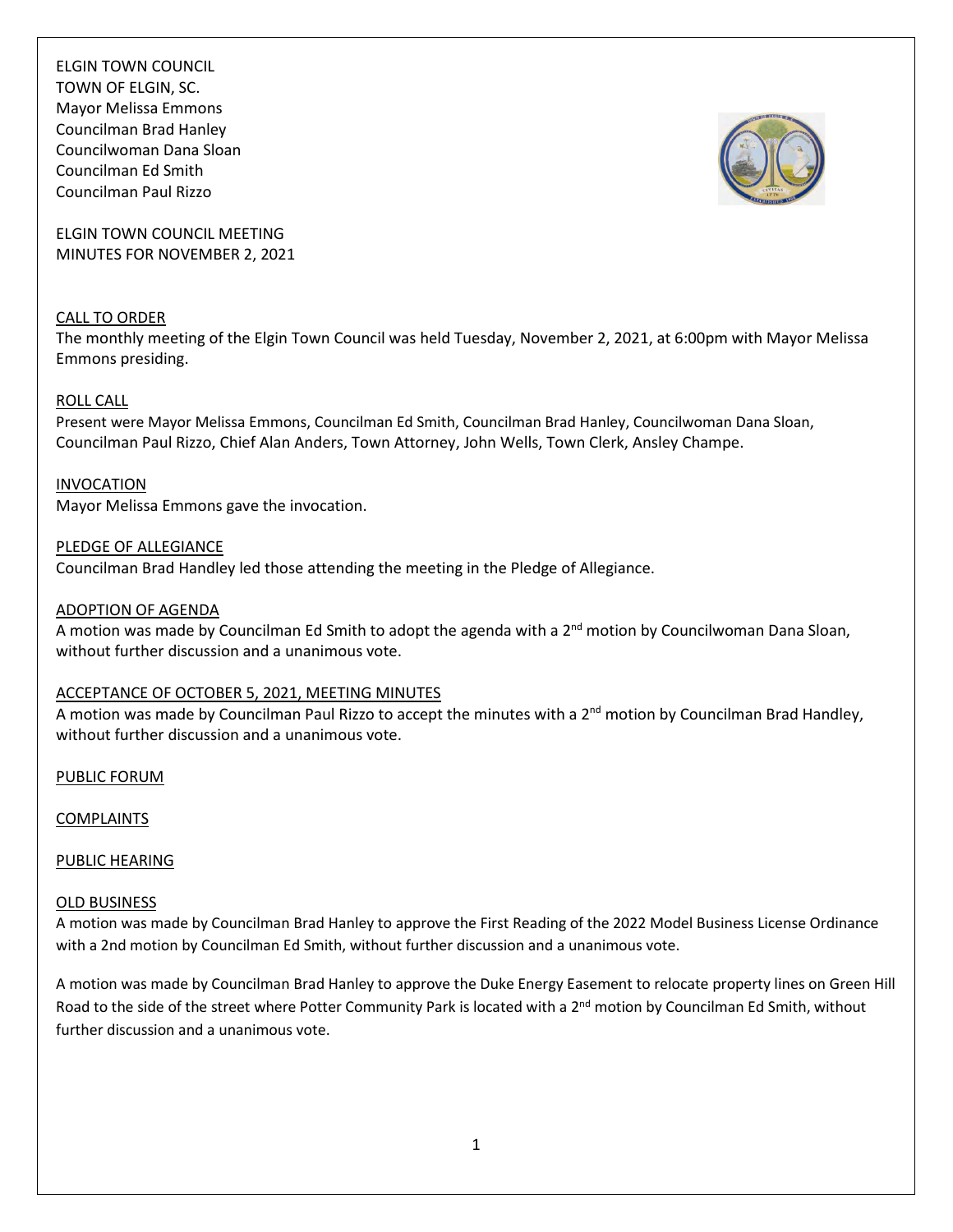

ELGIN TOWN COUNCIL MEETING MINUTES FOR NOVEMBER 2, 2021

# CALL TO ORDER

The monthly meeting of the Elgin Town Council was held Tuesday, November 2, 2021, at 6:00pm with Mayor Melissa Emmons presiding.

### ROLL CALL

Present were Mayor Melissa Emmons, Councilman Ed Smith, Councilman Brad Hanley, Councilwoman Dana Sloan, Councilman Paul Rizzo, Chief Alan Anders, Town Attorney, John Wells, Town Clerk, Ansley Champe.

INVOCATION

Mayor Melissa Emmons gave the invocation.

PLEDGE OF ALLEGIANCE

Councilman Brad Handley led those attending the meeting in the Pledge of Allegiance.

#### ADOPTION OF AGENDA

A motion was made by Councilman Ed Smith to adopt the agenda with a 2<sup>nd</sup> motion by Councilwoman Dana Sloan, without further discussion and a unanimous vote.

### ACCEPTANCE OF OCTOBER 5, 2021, MEETING MINUTES

A motion was made by Councilman Paul Rizzo to accept the minutes with a 2<sup>nd</sup> motion by Councilman Brad Handley, without further discussion and a unanimous vote.

PUBLIC FORUM

COMPLAINTS

PUBLIC HEARING

### OLD BUSINESS

A motion was made by Councilman Brad Hanley to approve the First Reading of the 2022 Model Business License Ordinance with a 2nd motion by Councilman Ed Smith, without further discussion and a unanimous vote.

A motion was made by Councilman Brad Hanley to approve the Duke Energy Easement to relocate property lines on Green Hill Road to the side of the street where Potter Community Park is located with a 2<sup>nd</sup> motion by Councilman Ed Smith, without further discussion and a unanimous vote.